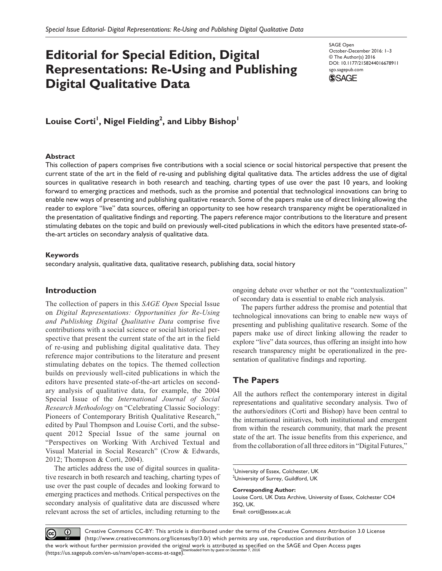# **Editorial for Special Edition, Digital Representations: Re-Using and Publishing Digital Qualitative Data**

SAGE Open October-December 2016: 1–3 © The Author(s) 2016 DOI: 10.1177/2158244016678911 sgo.sagepub.com



 $\mathsf{Louis}$  Corti<sup>1</sup>, Nigel Fielding<sup>2</sup>, and Libby Bishop<sup>1</sup>

### **Abstract**

This collection of papers comprises five contributions with a social science or social historical perspective that present the current state of the art in the field of re-using and publishing digital qualitative data. The articles address the use of digital sources in qualitative research in both research and teaching, charting types of use over the past 10 years, and looking forward to emerging practices and methods, such as the promise and potential that technological innovations can bring to enable new ways of presenting and publishing qualitative research. Some of the papers make use of direct linking allowing the reader to explore "live" data sources, offering an opportunity to see how research transparency might be operationalized in the presentation of qualitative findings and reporting. The papers reference major contributions to the literature and present stimulating debates on the topic and build on previously well-cited publications in which the editors have presented state-ofthe-art articles on secondary analysis of qualitative data.

## **Keywords**

secondary analysis, qualitative data, qualitative research, publishing data, social history

# **Introduction**

The collection of papers in this *SAGE Open* Special Issue on *Digital Representations: Opportunities for Re-Using and Publishing Digital Qualitative Data* comprise five contributions with a social science or social historical perspective that present the current state of the art in the field of re-using and publishing digital qualitative data. They reference major contributions to the literature and present stimulating debates on the topics. The themed collection builds on previously well-cited publications in which the editors have presented state-of-the-art articles on secondary analysis of qualitative data, for example, the 2004 Special Issue of the *International Journal of Social Research Methodology* on "Celebrating Classic Sociology: Pioneers of Contemporary British Qualitative Research," edited by Paul Thompson and Louise Corti, and the subsequent 2012 Special Issue of the same journal on "Perspectives on Working With Archived Textual and Visual Material in Social Research" (Crow & Edwards, 2012; Thompson & Corti, 2004).

The articles address the use of digital sources in qualitative research in both research and teaching, charting types of use over the past couple of decades and looking forward to emerging practices and methods. Critical perspectives on the secondary analysis of qualitative data are discussed where relevant across the set of articles, including returning to the ongoing debate over whether or not the "contextualization" of secondary data is essential to enable rich analysis.

The papers further address the promise and potential that technological innovations can bring to enable new ways of presenting and publishing qualitative research. Some of the papers make use of direct linking allowing the reader to explore "live" data sources, thus offering an insight into how research transparency might be operationalized in the presentation of qualitative findings and reporting.

# **The Papers**

All the authors reflect the contemporary interest in digital representations and qualitative secondary analysis. Two of the authors/editors (Corti and Bishop) have been central to the international initiatives, both institutional and emergent from within the research community, that mark the present state of the art. The issue benefits from this experience, and from the collaboration of all three editors in "Digital Futures,"

**Corresponding Author:** Louise Corti, UK Data Archive, University of Essex, Colchester CO4 3SQ, UK. Email: [corti@essex.ac.uk](mailto:corti@essex.ac.uk)

Creative Commons CC-BY: This article is distributed under the terms of the Creative Commons Attribution 3.0 License  $\odot$  $(cc)$ (http://www.creativecommons.org/licenses/by/3.0/) which permits any use, reproduction and distribution of the work without further permission provided the original work is attributed as specified on the SAGE and Open Access pages<br>(bownloaded from by guest on December 7, 2016 (https://us.sagepub.com/en-us/nam/open-access-at-sage).

University of Essex, Colchester, UK <sup>2</sup>University of Surrey, Guildford, UK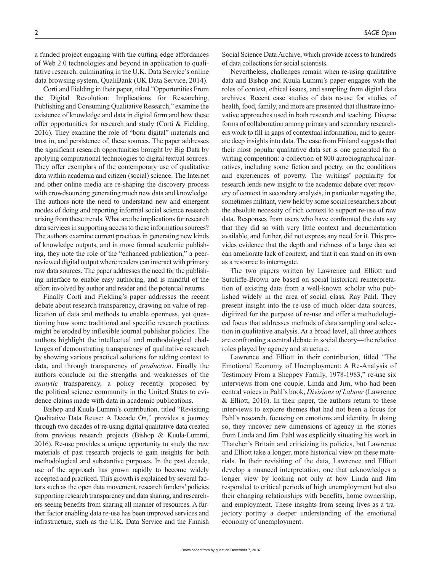a funded project engaging with the cutting edge affordances of Web 2.0 technologies and beyond in application to qualitative research, culminating in the U.K. Data Service's online data browsing system, QualiBank (UK Data Service, 2014).

Corti and Fielding in their paper, titled "Opportunities From the Digital Revolution: Implications for Researching, Publishing and Consuming Qualitative Research," examine the existence of knowledge and data in digital form and how these offer opportunities for research and study (Corti & Fielding, 2016). They examine the role of "born digital" materials and trust in, and persistence of, these sources. The paper addresses the significant research opportunities brought by Big Data by applying computational technologies to digital textual sources. They offer exemplars of the contemporary use of qualitative data within academia and citizen (social) science. The Internet and other online media are re-shaping the discovery process with crowdsourcing generating much new data and knowledge. The authors note the need to understand new and emergent modes of doing and reporting informal social science research arising from these trends. What are the implications for research data services in supporting access to these information sources? The authors examine current practices in generating new kinds of knowledge outputs, and in more formal academic publishing, they note the role of the "enhanced publication," a peerreviewed digital output where readers can interact with primary raw data sources. The paper addresses the need for the publishing interface to enable easy authoring, and is mindful of the effort involved by author and reader and the potential returns.

Finally Corti and Fielding's paper addresses the recent debate about research transparency, drawing on value of replication of data and methods to enable openness, yet questioning how some traditional and specific research practices might be eroded by inflexible journal publisher policies. The authors highlight the intellectual and methodological challenges of demonstrating transparency of qualitative research by showing various practical solutions for adding context to data, and through transparency of *production*. Finally the authors conclude on the strengths and weaknesses of the *analytic* transparency, a policy recently proposed by the political science community in the United States to evidence claims made with data in academic publications.

Bishop and Kuula-Lummi's contribution, titled "Revisiting Qualitative Data Reuse: A Decade On," provides a journey through two decades of re-using digital qualitative data created from previous research projects (Bishop & Kuula-Lummi, 2016). Re-use provides a unique opportunity to study the raw materials of past research projects to gain insights for both methodological and substantive purposes. In the past decade, use of the approach has grown rapidly to become widely accepted and practiced. This growth is explained by several factors such as the open data movement, research funders' policies supporting research transparency and data sharing, and researchers seeing benefits from sharing all manner of resources. A further factor enabling data re-use has been improved services and infrastructure, such as the U.K. Data Service and the Finnish Social Science Data Archive, which provide access to hundreds

Nevertheless, challenges remain when re-using qualitative data and Bishop and Kuula-Lummi's paper engages with the roles of context, ethical issues, and sampling from digital data archives. Recent case studies of data re-use for studies of health, food, family, and more are presented that illustrate innovative approaches used in both research and teaching. Diverse forms of collaboration among primary and secondary researchers work to fill in gaps of contextual information, and to generate deep insights into data. The case from Finland suggests that their most popular qualitative data set is one generated for a writing competition: a collection of 800 autobiographical narratives, including some fiction and poetry, on the conditions and experiences of poverty. The writings' popularity for research lends new insight to the academic debate over recovery of context in secondary analysis, in particular negating the, sometimes militant, view held by some social researchers about the absolute necessity of rich context to support re-use of raw data. Responses from users who have confronted the data say that they did so with very little context and documentation available, and further, did not express any need for it. This provides evidence that the depth and richness of a large data set can ameliorate lack of context, and that it can stand on its own as a resource to interrogate.

of data collections for social scientists.

The two papers written by Lawrence and Elliott and Sutcliffe-Brown are based on social historical reinterpretation of existing data from a well-known scholar who published widely in the area of social class, Ray Pahl. They present insight into the re-use of much older data sources, digitized for the purpose of re-use and offer a methodological focus that addresses methods of data sampling and selection in qualitative analysis. At a broad level, all three authors are confronting a central debate in social theory—the relative roles played by agency and structure.

Lawrence and Elliott in their contribution, titled "The Emotional Economy of Unemployment: A Re-Analysis of Testimony From a Sheppey Family, 1978-1983," re-use six interviews from one couple, Linda and Jim, who had been central voices in Pahl's book, *Divisions of Labour* (Lawrence & Elliott, 2016). In their paper, the authors return to these interviews to explore themes that had not been a focus for Pahl's research, focusing on emotions and identity. In doing so, they uncover new dimensions of agency in the stories from Linda and Jim. Pahl was explicitly situating his work in Thatcher's Britain and criticizing its policies, but Lawrence and Elliott take a longer, more historical view on these materials. In their revisiting of the data, Lawrence and Elliott develop a nuanced interpretation, one that acknowledges a longer view by looking not only at how Linda and Jim responded to critical periods of high unemployment but also their changing relationships with benefits, home ownership, and employment. These insights from seeing lives as a trajectory portray a deeper understanding of the emotional economy of unemployment.